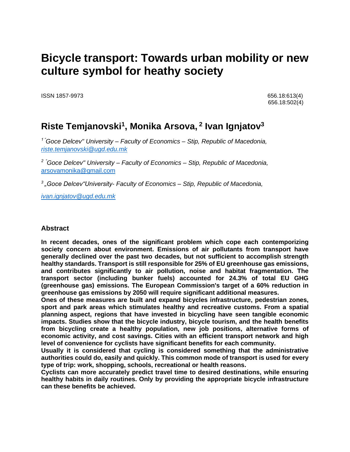# **Bicycle transport: Towards urban mobility or new culture symbol for heathy society**

ISSN 1857-9973 656.18:613(4)

656.18:502(4)

## **Riste Temjanovski<sup>1</sup> , Monika Arsova, 2 Ivan Ignjatov<sup>3</sup>**

*1 "Goce Delcev" University – Faculty of Economics – Stip, Republic of Macedonia, [riste.temjanovski@ugd.edu.mk](mailto:riste.temjanovski@ugd.edu.mk)*

*2 "Goce Delcev" University – Faculty of Economics – Stip, Republic of Macedonia,*  [arsovamonika@gmail.com](mailto:arsovamonika@gmail.com)

*3 "Goce Delcev"University- Faculty of Economics – Stip, Republic of Macedonia,*

*[ivan.ignjatov@ugd.edu.mk](mailto:ivan.ignjatov@ugd.edu.mk)*

#### **Abstract**

**In recent decades, ones of the significant problem which cope each contemporizing society concern about environment. Emissions of air pollutants from transport have generally declined over the past two decades, but not sufficient to accomplish strength healthy standards. Transport is still responsible for 25% of EU greenhouse gas emissions, and contributes significantly to air pollution, noise and habitat fragmentation. The transport sector (including bunker fuels) accounted for 24.3% of total EU GHG (greenhouse gas) emissions. The European Commission's target of a 60% reduction in greenhouse gas emissions by 2050 will require significant additional measures.** 

**Ones of these measures are built and expand bicycles infrastructure, pedestrian zones, sport and park areas which stimulates healthy and recreative customs. From a spatial planning aspect, regions that have invested in bicycling have seen tangible economic impacts. Studies show that the bicycle industry, bicycle tourism, and the health benefits from bicycling create a healthy population, new job positions, alternative forms of economic activity, and cost savings. Cities with an efficient transport network and high level of convenience for cyclists have significant benefits for each community.** 

**Usually it is considered that cycling is considered something that the administrative authorities could do, easily and quickly. This common mode of transport is used for every type of trip: work, shopping, schools, recreational or health reasons.**

**Cyclists can more accurately predict travel time to desired destinations, while ensuring healthy habits in daily routines. Only by providing the appropriate bicycle infrastructure can these benefits be achieved.**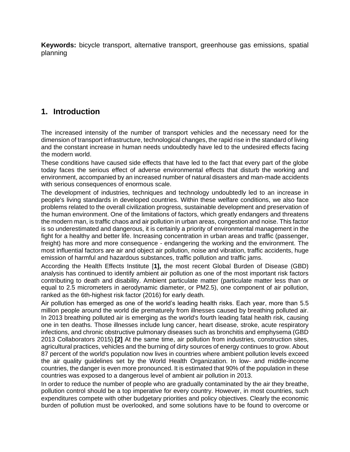**Keywords:** bicycle transport, alternative transport, greenhouse gas emissions, spatial planning

#### **1. Introduction**

The increased intensity of the number of transport vehicles and the necessary need for the dimension of transport infrastructure, technological changes, the rapid rise in the standard of living and the constant increase in human needs undoubtedly have led to the undesired effects facing the modern world.

These conditions have caused side effects that have led to the fact that every part of the globe today faces the serious effect of adverse environmental effects that disturb the working and environment, accompanied by an increased number of natural disasters and man-made accidents with serious consequences of enormous scale.

The development of industries, techniques and technology undoubtedly led to an increase in people's living standards in developed countries. Within these welfare conditions, we also face problems related to the overall civilization progress, sustainable development and preservation of the human environment. One of the limitations of factors, which greatly endangers and threatens the modern man, is traffic chaos and air pollution in urban areas, congestion and noise. This factor is so underestimated and dangerous, it is certainly a priority of environmental management in the fight for a healthy and better life. Increasing concentration in urban areas and traffic (passenger, freight) has more and more consequence - endangering the working and the environment. The most influential factors are air and object air pollution, noise and vibration, traffic accidents, huge emission of harmful and hazardous substances, traffic pollution and traffic jams.

According the Health Effects Institute [**1],** the most recent Global Burden of Disease (GBD) analysis has continued to identify ambient air pollution as one of the most important risk factors contributing to death and disability. Ambient particulate matter (particulate matter less than or equal to 2.5 micrometers in aerodynamic diameter, or PM2.5), one component of air pollution, ranked as the 6th-highest risk factor (2016) for early death.

Air pollution has emerged as one of the world's leading health risks. Each year, more than 5.5 million people around the world die prematurely from illnesses caused by breathing polluted air. In 2013 breathing polluted air is emerging as the world's fourth leading fatal health risk, causing one in ten deaths. Those illnesses include lung cancer, heart disease, stroke, acute respiratory infections, and chronic obstructive pulmonary diseases such as bronchitis and emphysema (GBD 2013 Collaborators 2015).**[2]** At the same time, air pollution from industries, construction sites, agricultural practices, vehicles and the burning of dirty sources of energy continues to grow. About 87 percent of the world's population now lives in countries where ambient pollution levels exceed the air quality guidelines set by the World Health Organization. In low- and middle-income countries, the danger is even more pronounced. It is estimated that 90% of the population in these countries was exposed to a dangerous level of ambient air pollution in 2013.

In order to reduce the number of people who are gradually contaminated by the air they breathe, pollution control should be a top imperative for every country. However, in most countries, such expenditures compete with other budgetary priorities and policy objectives. Clearly the economic burden of pollution must be overlooked, and some solutions have to be found to overcome or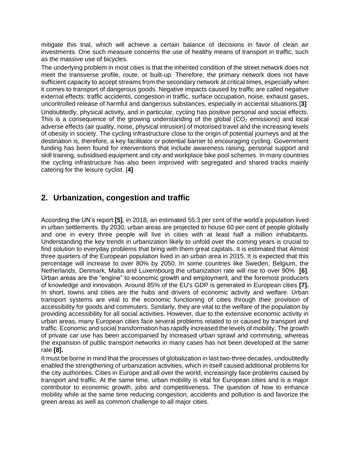mitigate this trial, which will achieve a certain balance of decisions in favor of clean air investments. One such measure concerns the use of healthy means of transport in traffic, such as the massive use of bicycles.

The underlying problem in most cities is that the inherited condition of the street network does not meet the transverse profile, route, or built-up. Therefore, the primary network does not have sufficient capacity to accept streams from the secondary network at critical times, especially when it comes to transport of dangerous goods. Negative impacts caused by traffic are called negative external effects: traffic accidents, congestion in traffic, surface occupation, noise, exhaust gases, uncontrolled release of harmful and dangerous substances, especially in acciental situations.[**3]**

Undoubtedly, physical activity, and in particular, cycling has positive personal and social effects. This is a consequence of the growing understanding of the global  $(CO<sub>2</sub>$  emissions) and local adverse effects (air quality, noise, physical intrusion) of motorised travel and the increasing levels of obesity in society. The cycling infrastructure close to the origin of potential journeys and at the destination is, therefore, a key facilitator or potential barrier to encouraging cycling. Government funding has been found for interventions that include awareness raising, personal support and skill training, subsidised equipment and city and workplace bike pool schemes. In many countries the cycling infrastructure has also been improved with segregated and shared tracks mainly catering for the leisure cyclist. [**4]**

#### **2. Urbanization, congestion and traffic**

According the UN's report **[5]**, in 2018, an estimated 55.3 per cent of the world's population lived in urban settlements. By 2030, urban areas are projected to house 60 per cent of people globally and one in every three people will live in cities with at least half a million inhabitants. Understanding the key trends in urbanization likely to unfold over the coming years is crucial to find solution to everyday problems that bring with them great capitals. It is estimated that Almost three quarters of the European population lived in an urban area in 2015. It is expected that this percentage will increase to over 80% by 2050. In some countries like Sweden, Belgium, the Netherlands, Denmark, Malta and Luxembourg the urbanization rate will rise to over 90% **[6]**. Urban areas are the "engine" to economic growth and employment, and the foremost producers of knowledge and innovation. Around 85% of the EU's GDP is generated in European cities **[7].** In short, towns and cities are the hubs and drivers of economic activity and welfare. Urban transport systems are vital to the economic functioning of cities through their provision of accessibility for goods and commuters. Similarly, they are vital to the welfare of the population by providing accessibility for all social activities. However, due to the extensive economic activity in urban areas, many European cities face several problems related to or caused by transport and traffic. Economic and social transformation has rapidly increased the levels of mobility. The growth of private car use has been accompanied by increased urban sprawl and commuting, whereas the expansion of public transport networks in many cases has not been developed at the same rate **[8].**

It must be borne in mind that the processes of globalization in last two-three decades, undoubtedly enabled the strengthening of urbanization activities, which in itself caused additional problems for the city authorities. Cities in Europe and all over the world, increasingly face problems caused by transport and traffic. At the same time, urban mobility is vital for European cities and is a major contributor to economic growth, jobs and competitiveness. The question of how to enhance mobility while at the same time reducing congestion, accidents and pollution is and favorize the green areas as well as common challenge to all major cities.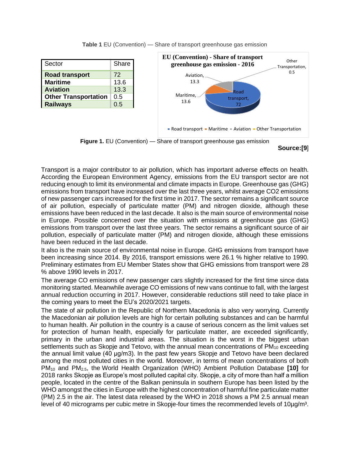| Sector                      | Share |
|-----------------------------|-------|
| <b>Road transport</b>       | 72    |
| <b>Maritime</b>             | 13.6  |
| <b>Aviation</b>             | 13.3  |
| <b>Other Transportation</b> | 0.5   |
| <b>Railways</b>             | 0.5   |

Road transport, 72 Maritime, 13.6 Aviation, 13.3 **Other** Transportation, 0.5 **EU (Convention) - Share of transport greenhouse gas emission - 2016** Road transport • Maritime • Aviation • Other Transportation

**Table 1** EU (Convention) — Share of transport greenhouse gas emission





Transport is a major contributor to air pollution, which has important adverse effects on health. According the European Environment Agency, emissions from the EU transport sector are not reducing enough to limit its environmental and climate impacts in Europe. Greenhouse gas (GHG) emissions from transport have increased over the last three years, whilst average CO2 emissions of new passenger cars increased for the first time in 2017. The sector remains a significant source of air pollution, especially of particulate matter (PM) and nitrogen dioxide, although these emissions have been reduced in the last decade. It also is the main source of environmental noise in Europe. Possible concerned over the situation with emissions at greenhouse gas (GHG) emissions from transport over the last three years. The sector remains a significant source of air pollution, especially of particulate matter (PM) and nitrogen dioxide, although these emissions have been reduced in the last decade.

It also is the main source of environmental noise in Europe. GHG emissions from transport have been increasing since 2014. By 2016, transport emissions were 26.1 % higher relative to 1990. Preliminary estimates from EU Member States show that GHG emissions from transport were 28 % above 1990 levels in 2017.

The average CO emissions of new passenger cars slightly increased for the first time since data monitoring started. Meanwhile average CO emissions of new vans continue to fall, with the largest annual reduction occurring in 2017. However, considerable reductions still need to take place in the coming years to meet the EU's 2020/2021 targets.

The state of air pollution in the Republic of Northern Macedonia is also very worrying. Currently the Macedonian air pollution levels are high for certain polluting substances and can be harmful to human health. Аir pollution in the country is a cause of serious concern as the limit values set for protection of human health, especially for particulate matter, are exceeded significantly, primary in the urban and industrial areas. The situation is the worst in the biggest urban settlements such as Skopje and Tetovo, with the annual mean concentrations of  $PM_{10}$  exceeding the annual limit value (40 μg/m3). In the past few years Skopje and Tetovo have been declared among the most polluted cities in the world. Moreover, in terms of mean concentrations of both PM<sup>10</sup> and PM2.5, the World Health Organization (WHO) Ambient Pollution Database **[10]** for 2018 ranks Skopje as Europe's most polluted capital city. Skopje, a city of more than half a million people, located in the centre of the Balkan peninsula in southern Europe has been listed by the WHO amongst the cities in Europe with the highest concentration of harmful fine particulate matter (PM) 2.5 in the air. The latest data released by the WHO in 2018 shows a PM 2.5 annual mean level of 40 micrograms per cubic metre in Skopje-four times the recommended levels of 10µg/m<sup>3</sup>.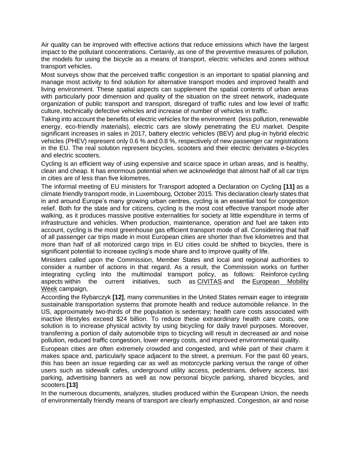Air quality can be improved with effective actions that reduce emissions which have the largest impact to the pollutant concentrations. Certainly, as one of the preventive measures of pollution, the models for using the bicycle as a means of transport, electric vehicles and zones without transport vehicles.

Most surveys show that the perceived traffic congestion is an important to spatial planning and manage most activity to find solution for alternative transport modes and improved health and living environment. These spatial aspects can supplement the spatial contents of urban areas with particularly poor dimension and quality of the situation on the street network, inadequate organization of public transport and transport, disregard of traffic rules and low level of traffic culture, technically defective vehicles and increase of number of vehicles in traffic.

Taking into account the benefits of electric vehicles for the environment (less pollution, renewable energy, eco-friendly materials), electric cars are slowly penetrating the EU market. Despite significant increases in sales in 2017, battery electric vehicles (BEV) and plug-in hybrid electric vehicles (PHEV) represent only 0.6 % and 0.8 %, respectively of new passenger car registrations in the EU. The real solution represent bicycles, scooters and their electric derivates e-bicycles and electric scooters.

Cycling is an efficient way of using expensive and scarce space in urban areas, and is healthy, clean and cheap. It has enormous potential when we acknowledge that almost half of all car trips in cities are of less than five kilometres.

The informal meeting of EU ministers for Transport adopted a Declaration on Cycling **[11]** as a climate friendly transport mode, in Luxembourg, October 2015. This declaration clearly states that in and around Europe's many growing urban centres, cycling is an essential tool for congestion relief. Both for the state and for citizens, cycling is the most cost effective transport mode after walking, as it produces massive positive externalities for society at little expenditure in terms of infrastructure and vehicles. When production, maintenance, operation and fuel are taken into account, cycling is the most greenhouse gas efficient transport mode of all. Considering that half of all passenger car trips made in most European cities are shorter than five kilometres and that more than half of all motorized cargo trips in EU cities could be shifted to bicycles, there is significant potential to increase cycling's mode share and to improve quality of life.

Ministers called upon the Commission, Member States and local and regional authorities to consider a number of actions in that regard. As a result, the Commission works on further integrating cycling into the multimodal transport policy, as follows: Reinforce cycling aspects within the current initiatives, such as [CIVITAS](http://www.civitas.eu/) and the [European Mobility](http://www.mobilityweek.eu/)  [Week](http://www.mobilityweek.eu/) campaign,

According the Rybarczyk **[12]**, many communities in the United States remain eager to integrate sustainable transportation systems that promote health and reduce automobile reliance. In the US, approximately two-thirds of the population is sedentary; health care costs associated with inactive lifestyles exceed \$24 billion. To reduce these extraordinary health care costs, one solution is to increase physical activity by using bicycling for daily travel purposes. Moreover, transferring a portion of daily automobile trips to bicycling will result in decreased air and noise pollution, reduced traffic congestion, lower energy costs, and improved environmental quality.

European cities are often extremely crowded and congested, and while part of their charm it makes space and, particularly space adjacent to the street, a premium. For the past 60 years, this has been an issue regarding car as well as motorcycle parking versus the range of other users such as sidewalk cafes, underground utility access, pedestrians, delivery access, taxi parking, advertising banners as well as now personal bicycle parking, shared bicycles, and scooters.**[13]**

In the numerous documents, analyzes, studies produced within the European Union, the needs of environmentally friendly means of transport are clearly emphasized. Congestion, air and noise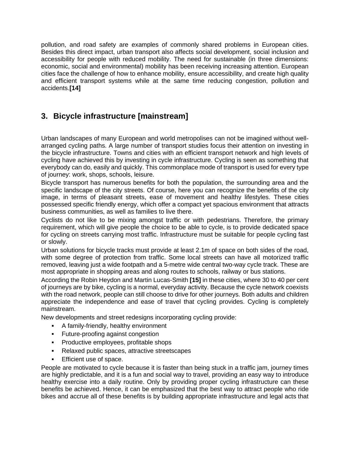pollution, and road safety are examples of commonly shared problems in European cities. Besides this direct impact, urban transport also affects social development, social inclusion and accessibility for people with reduced mobility. The need for sustainable (in three dimensions: economic, social and environmental) mobility has been receiving increasing attention. European cities face the challenge of how to enhance mobility, ensure accessibility, and create high quality and efficient transport systems while at the same time reducing congestion, pollution and accidents.**[14]**

### **3. Bicycle infrastructure [mainstream]**

Urban landscapes of many European and world metropolises can not be imagined without wellarranged cycling paths. A large number of transport studies focus their attention on investing in the bicycle infrastructure. Towns and cities with an efficient transport network and high levels of cycling have achieved this by investing in cycle infrastructure. Cycling is seen as something that everybody can do, easily and quickly. This commonplace mode of transport is used for every type of journey: work, shops, schools, leisure.

Bicycle transport has numerous benefits for both the population, the surrounding area and the specific landscape of the city streets. Of course, here you can recognize the benefits of the city image, in terms of pleasant streets, ease of movement and healthy lifestyles. These cities possessed specific friendly energy, which offer a compact yet spacious environment that attracts business communities, as well as families to live there.

Cyclists do not like to be mixing amongst traffic or with pedestrians. Therefore, the primary requirement, which will give people the choice to be able to cycle, is to provide dedicated space for cycling on streets carrying most traffic. Infrastructure must be suitable for people cycling fast or slowly.

Urban solutions for bicycle tracks must provide at least 2.1m of space on both sides of the road, with some degree of protection from traffic. Some local streets can have all motorized traffic removed, leaving just a wide footpath and a 5-metre wide central two-way cycle track. These are most appropriate in shopping areas and along routes to schools, railway or bus stations.

According the Robin Heydon and Martin Lucas-Smith **[15]** in these cities, where 30 to 40 per cent of journeys are by bike, cycling is a normal, everyday activity. Because the cycle network coexists with the road network, people can still choose to drive for other journeys. Both adults and children appreciate the independence and ease of travel that cycling provides. Cycling is completely mainstream.

New developments and street redesigns incorporating cycling provide:

- A family-friendly, healthy environment
- **•** Future-proofing against congestion
- Productive employees, profitable shops
- Relaxed public spaces, attractive streetscapes
- **Efficient use of space.**

People are motivated to cycle because it is faster than being stuck in a traffic jam, journey times are highly predictable, and it is a fun and social way to travel, providing an easy way to introduce healthy exercise into a daily routine. Only by providing proper cycling infrastructure can these benefits be achieved. Hence, it can be emphasized that the best way to attract people who ride bikes and accrue all of these benefits is by building appropriate infrastructure and legal acts that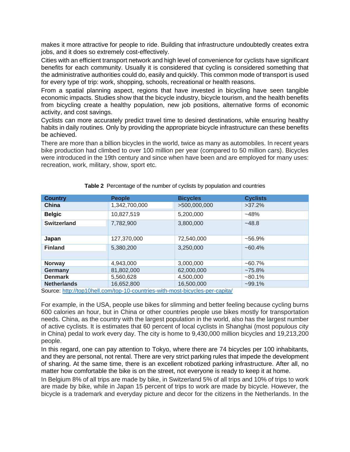makes it more attractive for people to ride. Building that infrastructure undoubtedly creates extra jobs, and it does so extremely cost-effectively.

Cities with an efficient transport network and high level of convenience for cyclists have significant benefits for each community. Usually it is considered that cycling is considered something that the administrative authorities could do, easily and quickly. This common mode of transport is used for every type of trip: work, shopping, schools, recreational or health reasons.

From a spatial planning aspect, regions that have invested in bicycling have seen tangible economic impacts. Studies show that the bicycle industry, bicycle tourism, and the health benefits from bicycling create a healthy population, new job positions, alternative forms of economic activity, and cost savings.

Cyclists can more accurately predict travel time to desired destinations, while ensuring healthy habits in daily routines. Only by providing the appropriate bicycle infrastructure can these benefits be achieved.

There are more than a billion bicycles in the world, twice as many as automobiles. In recent years bike production had climbed to over 100 million per year (compared to 50 million cars). Bicycles were introduced in the 19th century and since when have been and are employed for many uses: recreation, work, military, show, sport etc.

| <b>Country</b>                                                                                                                                                                                                                                          | <b>People</b> | <b>Bicycles</b>             | <b>Cyclists</b> |
|---------------------------------------------------------------------------------------------------------------------------------------------------------------------------------------------------------------------------------------------------------|---------------|-----------------------------|-----------------|
| China                                                                                                                                                                                                                                                   | 1,342,700,000 | >500,000,000                | $>37.2\%$       |
| <b>Belgic</b>                                                                                                                                                                                                                                           | 10,827,519    | 5,200,000                   | $-48%$          |
| <b>Switzerland</b>                                                                                                                                                                                                                                      | 7,782,900     | 3,800,000                   | $-48.8$         |
|                                                                                                                                                                                                                                                         |               |                             |                 |
| Japan                                                                                                                                                                                                                                                   | 127,370,000   | 72,540,000                  | $~56.9\%$       |
| <b>Finland</b>                                                                                                                                                                                                                                          | 5,380,200     | 3,250,000                   | $~160.4\%$      |
|                                                                                                                                                                                                                                                         |               |                             |                 |
| <b>Norway</b>                                                                                                                                                                                                                                           | 4,943,000     | 3,000,000                   | $~100.7\%$      |
| Germany                                                                                                                                                                                                                                                 | 81,802,000    | 62,000,000                  | $~275.8\%$      |
| <b>Denmark</b>                                                                                                                                                                                                                                          | 5,560,628     | 4,500,000                   | $~1\%$          |
| <b>Netherlands</b><br>$\bullet$ in the set of the set of the set of the set of the set of the set of the set of the set of the set of the set of the set of the set of the set of the set of the set of the set of the set of the set of the set of the | 16,652,800    | 16,500,000<br>$\sim$ $\sim$ | $~299.1\%$      |

Source:<http://top10hell.com/top-10-countries-with-most-bicycles-per-capita/>

For example, in the USA, people use bikes for slimming and better feeling because cycling burns 600 calories an hour, but in China or other countries people use bikes mostly for transportation needs. China, as the country with the largest population in the world, also has the largest number of active cyclists. It is estimates that 60 percent of local cyclists in Shanghai (most populous city in China) pedal to work every day. The city is home to 9,430,000 million bicycles and 19,213,200 people.

In this regard, one can pay attention to Tokyo, where there are 74 bicycles per 100 inhabitants, and they are personal, not rental. There are very strict parking rules that impede the development of sharing. At the same time, there is an excellent robotized parking infrastructure. After all, no matter how comfortable the bike is on the street, not everyone is ready to keep it at home.

In Belgium 8% of all trips are made by bike, in Switzerland 5% of all trips and 10% of trips to work are made by bike, while in Japan 15 percent of trips to work are made by bicycle. However, the bicycle is a trademark and everyday picture and decor for the citizens in the Netherlands. In the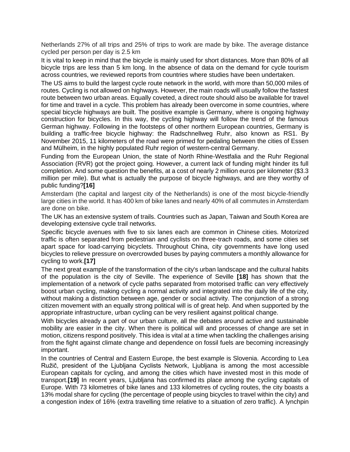Netherlands 27% of all trips and 25% of trips to work are made by bike. The average distance cycled per person per day is 2.5 km

It is vital to keep in mind that the bicycle is mainly used for short distances. More than 80% of all bicycle trips are less than 5 km long. In the absence of data on the demand for cycle tourism across countries, we reviewed reports from countries where studies have been undertaken.

The US aims to build the largest cycle route network in the world, with more than 50,000 miles of routes. Cycling is not allowed on highways. However, the main roads will usually follow the fastest route between two urban areas. Equally coveted, a direct route should also be available for travel for time and travel in a cycle. This problem has already been overcome in some countries, where special bicycle highways are built. The positive example is Germany, where is ongoing highway construction for bicycles. In this way, the cycling highway will follow the trend of the famous German highway. Following in the footsteps of other northern European countries, Germany is building a traffic-free bicycle highway: the Radschnellweg Ruhr, also known as RS1. By November 2015, 11 kilometers of the road were primed for pedaling between the cities of Essen and Mülheim, in the highly populated Ruhr region of western-central Germany.

Funding from the European Union, the state of North Rhine-Westfalia and the Ruhr Regional Association (RVR) got the project going. However, a current lack of funding might hinder its full completion. And some question the benefits, at a cost of nearly 2 million euros per kilometer (\$3.3 million per mile). But what is actually the purpose of bicycle highways, and are they worthy of public funding?**[16]**

Amsterdam (the capital and largest city of the Netherlands) is one of the most bicycle-friendly large cities in the world. It has 400 km of bike lanes and nearly 40% of all commutes in Amsterdam are done on bike.

The UK has an extensive system of trails. Countries such as Japan, Taiwan and South Korea are developing extensive cycle trail networks.

Specific bicycle avenues with five to six lanes each are common in Chinese cities. Motorized traffic is often separated from pedestrian and cyclists on three-trach roads, and some cities set apart space for load-carrying bicyclets. Throughout China, city governments have long used bicycles to relieve pressure on overcrowded buses by paying commuters a monthly allowance for cycling to work.**[17]**

The next great example of the transformation of the city's urban landscape and the cultural habits of the population is the city of Seville. The experience of Seville **[18]** has shown that the implementation of a network of cycle paths separated from motorised traffic can very effectively boost urban cycling, making cycling a normal activity and integrated into the daily life of the city, without making a distinction between age, gender or social activity. The conjunction of a strong citizen movement with an equally strong political will is of great help. And when supported by the appropriate infrastructure, urban cycling can be very resilient against political change.

With bicycles already a part of our urban culture, all the debates around active and sustainable mobility are easier in the city. When there is political will and processes of change are set in motion, citizens respond positively. This idea is vital at a time when tackling the challenges arising from the fight against climate change and dependence on fossil fuels are becoming increasingly important.

In the countries of Central and Eastern Europe, the best example is Slovenia. According to Lea Ružič, president of the Ljubljana Cyclists Network, Ljubljana is among the most accessible European capitals for cycling, and among the cities which have invested most in this mode of transport.**[19]** In recent years, Ljubljana has confirmed its place among the cycling capitals of Europe. With 73 kilometres of bike lanes and 133 kilometres of cycling routes, the city boasts a 13% modal share for cycling (the percentage of people using bicycles to travel within the city) and a congestion index of 16% (extra travelling time relative to a situation of zero traffic). A lynchpin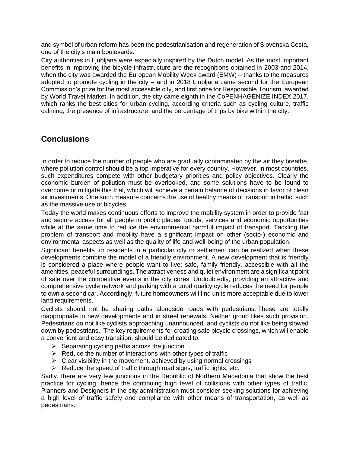and symbol of urban reform has been the pedestrianisation and regeneration of Slovenska Cesta, one of the city's main boulevards.

City authorities in Ljubljana were especially inspired by the Dutch model. As the most important benefits in improving the bicycle infrastructure are the recognitions obtained in 2003 and 2014, when the city was awarded the European Mobility Week award (EMW) – thanks to the measures adopted to promote cycling in the city – and in 2018 Ljubljana came second for the European Commission's prize for the most accessible city, and first prize for Responsible Tourism, awarded by World Travel Market. In addition, the city came eighth in the CoPENHAGENIZE INDEX 2017, which ranks the best cities for urban cycling, according criteria such as cycling culture, traffic calming, the presence of infrastructure, and the percentage of trips by bike within the city.

#### **Conclusions**

In order to reduce the number of people who are gradually contaminated by the air they breathe, where pollution control should be a top imperative for every country. However, in most countries, such expenditures compete with other budgetary priorities and policy objectives. Clearly the economic burden of pollution must be overlooked, and some solutions have to be found to overcome or mitigate this trial, which will achieve a certain balance of decisions in favor of clean air investments. One such measure concerns the use of healthy means of transport in traffic, such as the massive use of bicycles.

Today the world makes continuous efforts to improve the mobility system in order to provide fast and secure access for all people in public places, goods, services and economic opportunities while at the same time to reduce the environmental harmful impact of transport. Tackling the problem of transport and mobility have a significant impact on other (socio-) economic and environmental aspects as well as the quality of life and well-being of the urban population.

Significant benefits for residents in a particular city or settlement can be realized when these developments combine the model of a friendly environment. A new development that is friendly is considered a place where people want to live: safe, family friendly, accessible with all the amenities, peaceful surroundings. The attractiveness and quiet environment are a significant point of sale over the competitive events in the city cores. Undoubtedly, providing an attractive and comprehensive cycle network and parking with a good quality cycle reduces the need for people to own a second car. Accordingly, future homeowners will find units more acceptable due to lower land requirements.

Cyclists should not be sharing paths alongside roads with pedestrians. These are totally inappropriate in new developments and in street renewals. Neither group likes such provision. Pedestrians do not like cyclists approaching unannounced, and cyclists do not like being slowed down by pedestrians. The key requirements for creating safe bicycle crossings, which will enable a convenient and easy transition, should be dedicated to:

- $\triangleright$  Separating cycling paths across the junction
- $\triangleright$  Reduce the number of interactions with other types of traffic
- $\triangleright$  Clear visibility in the movement, achieved by using normal crossings
- $\triangleright$  Reduce the speed of traffic through road signs, traffic lights, etc.

Sadly, there are very few junctions in the Republic of Northern Macedonia that show the best practice for cycling, hence the continuing high level of collisions with other types of traffic. Planners and Designers in the city administration must consider seeking solutions for achieving a high level of traffic safety and compliance with other means of transportation, as well as pedestrians.